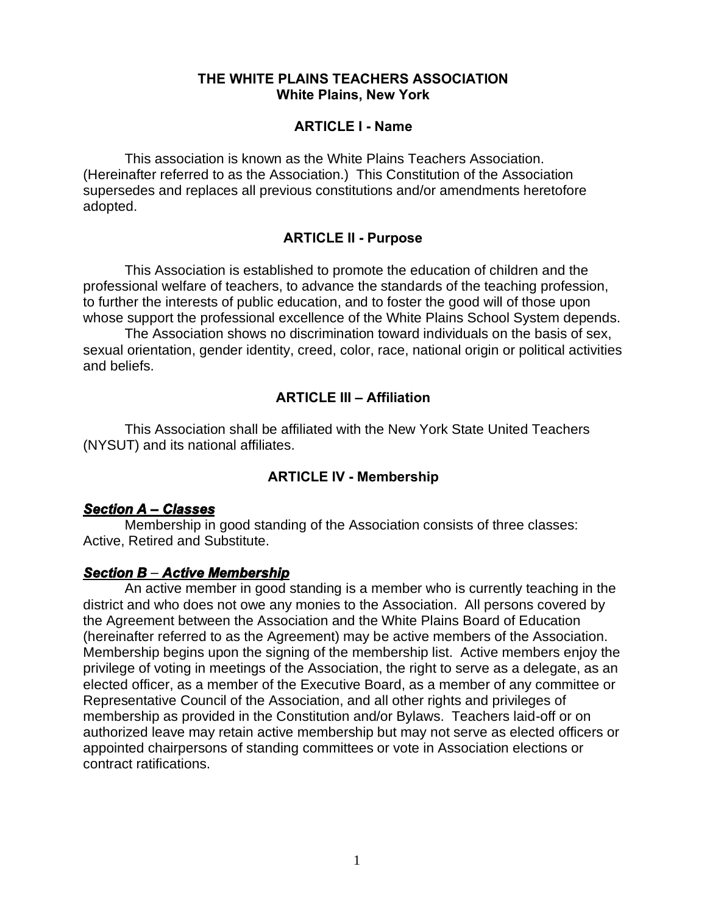#### **THE WHITE PLAINS TEACHERS ASSOCIATION White Plains, New York**

#### **ARTICLE I - Name**

This association is known as the White Plains Teachers Association. (Hereinafter referred to as the Association.) This Constitution of the Association supersedes and replaces all previous constitutions and/or amendments heretofore adopted.

#### **ARTICLE II - Purpose**

This Association is established to promote the education of children and the professional welfare of teachers, to advance the standards of the teaching profession, to further the interests of public education, and to foster the good will of those upon whose support the professional excellence of the White Plains School System depends.

The Association shows no discrimination toward individuals on the basis of sex, sexual orientation, gender identity, creed, color, race, national origin or political activities and beliefs.

#### **ARTICLE III – Affiliation**

This Association shall be affiliated with the New York State United Teachers (NYSUT) and its national affiliates.

#### **ARTICLE IV - Membership**

#### *Section A – Classes*

Membership in good standing of the Association consists of three classes: Active, Retired and Substitute.

#### *Section B – Active Membership*

An active member in good standing is a member who is currently teaching in the district and who does not owe any monies to the Association. All persons covered by the Agreement between the Association and the White Plains Board of Education (hereinafter referred to as the Agreement) may be active members of the Association. Membership begins upon the signing of the membership list. Active members enjoy the privilege of voting in meetings of the Association, the right to serve as a delegate, as an elected officer, as a member of the Executive Board, as a member of any committee or Representative Council of the Association, and all other rights and privileges of membership as provided in the Constitution and/or Bylaws. Teachers laid-off or on authorized leave may retain active membership but may not serve as elected officers or appointed chairpersons of standing committees or vote in Association elections or contract ratifications.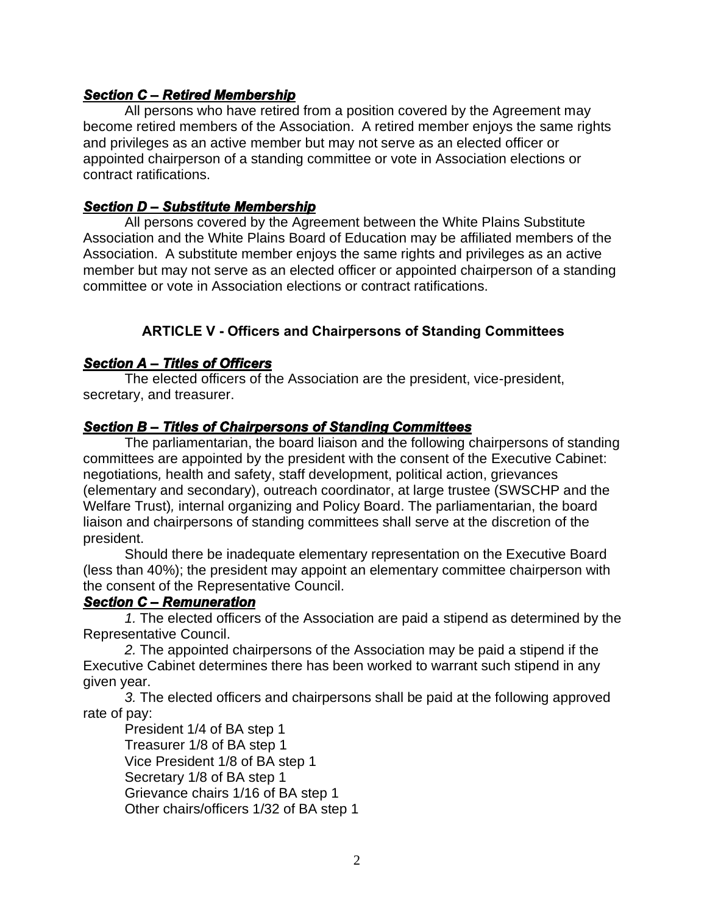#### *Section C – Retired Membership*

All persons who have retired from a position covered by the Agreement may become retired members of the Association. A retired member enjoys the same rights and privileges as an active member but may not serve as an elected officer or appointed chairperson of a standing committee or vote in Association elections or contract ratifications.

#### *Section D – Substitute Membership*

All persons covered by the Agreement between the White Plains Substitute Association and the White Plains Board of Education may be affiliated members of the Association. A substitute member enjoys the same rights and privileges as an active member but may not serve as an elected officer or appointed chairperson of a standing committee or vote in Association elections or contract ratifications.

## **ARTICLE V - Officers and Chairpersons of Standing Committees**

#### *Section A – Titles of Officers*

The elected officers of the Association are the president, vice-president, secretary, and treasurer.

#### *Section B – Titles of Chairpersons of Standing Committees*

The parliamentarian, the board liaison and the following chairpersons of standing committees are appointed by the president with the consent of the Executive Cabinet: negotiations*,* health and safety, staff development, political action, grievances (elementary and secondary), outreach coordinator, at large trustee (SWSCHP and the Welfare Trust)*,* internal organizing and Policy Board. The parliamentarian, the board liaison and chairpersons of standing committees shall serve at the discretion of the president.

Should there be inadequate elementary representation on the Executive Board (less than 40%); the president may appoint an elementary committee chairperson with the consent of the Representative Council.

#### *Section C – Remuneration*

*1.* The elected officers of the Association are paid a stipend as determined by the Representative Council.

*2.* The appointed chairpersons of the Association may be paid a stipend if the Executive Cabinet determines there has been worked to warrant such stipend in any given year.

*3.* The elected officers and chairpersons shall be paid at the following approved rate of pay:

President 1/4 of BA step 1 Treasurer 1/8 of BA step 1 Vice President 1/8 of BA step 1 Secretary 1/8 of BA step 1 Grievance chairs 1/16 of BA step 1 Other chairs/officers 1/32 of BA step 1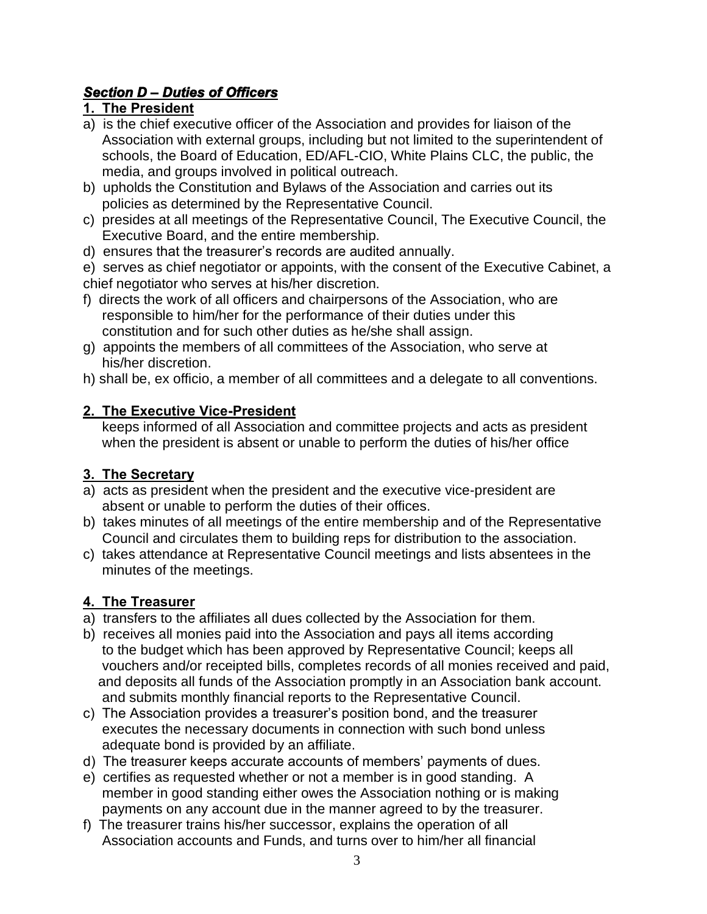## *Section D – Duties of Officers*

## **1. The President**

- a) is the chief executive officer of the Association and provides for liaison of the Association with external groups, including but not limited to the superintendent of schools, the Board of Education, ED/AFL-CIO, White Plains CLC, the public, the media, and groups involved in political outreach.
- b) upholds the Constitution and Bylaws of the Association and carries out its policies as determined by the Representative Council.
- c) presides at all meetings of the Representative Council, The Executive Council, the Executive Board, and the entire membership.
- d) ensures that the treasurer's records are audited annually.

e) serves as chief negotiator or appoints, with the consent of the Executive Cabinet, a chief negotiator who serves at his/her discretion.

- f) directs the work of all officers and chairpersons of the Association, who are responsible to him/her for the performance of their duties under this constitution and for such other duties as he/she shall assign.
- g) appoints the members of all committees of the Association, who serve at his/her discretion.
- h) shall be, ex officio, a member of all committees and a delegate to all conventions.

## **2. The Executive Vice-President**

 keeps informed of all Association and committee projects and acts as president when the president is absent or unable to perform the duties of his/her office

## **3. The Secretary**

- a) acts as president when the president and the executive vice-president are absent or unable to perform the duties of their offices.
- b) takes minutes of all meetings of the entire membership and of the Representative Council and circulates them to building reps for distribution to the association.
- c) takes attendance at Representative Council meetings and lists absentees in the minutes of the meetings.

# **4. The Treasurer**

- a) transfers to the affiliates all dues collected by the Association for them.
- b) receives all monies paid into the Association and pays all items according to the budget which has been approved by Representative Council; keeps all vouchers and/or receipted bills, completes records of all monies received and paid, and deposits all funds of the Association promptly in an Association bank account. and submits monthly financial reports to the Representative Council.
- c) The Association provides a treasurer's position bond, and the treasurer executes the necessary documents in connection with such bond unless adequate bond is provided by an affiliate.
- d) The treasurer keeps accurate accounts of members' payments of dues.
- e) certifies as requested whether or not a member is in good standing. A member in good standing either owes the Association nothing or is making payments on any account due in the manner agreed to by the treasurer.
- f) The treasurer trains his/her successor, explains the operation of all Association accounts and Funds, and turns over to him/her all financial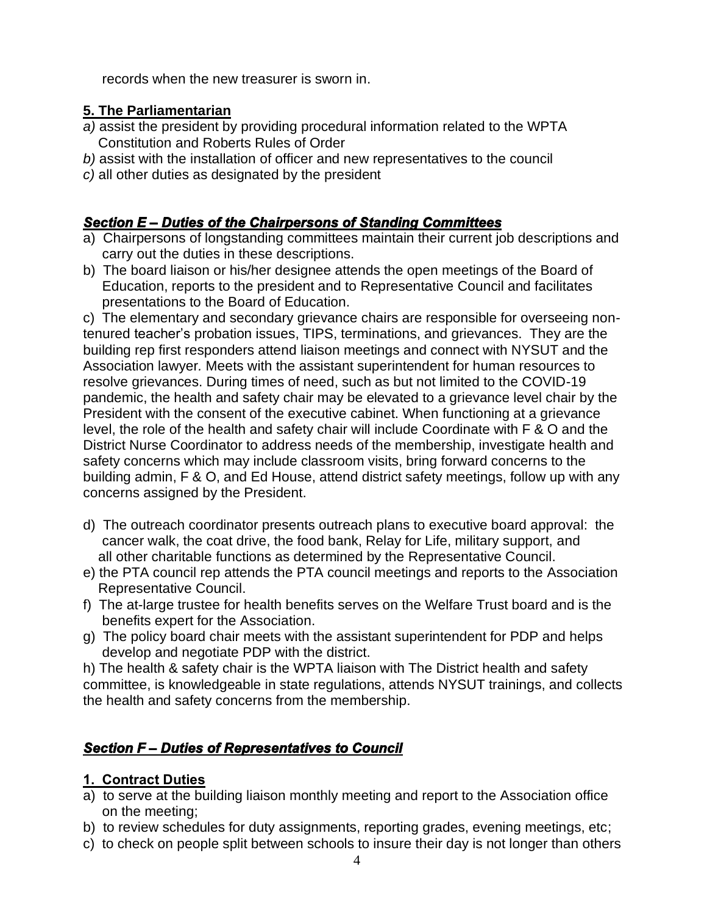records when the new treasurer is sworn in.

## **5. The Parliamentarian**

- *a)* assist the president by providing procedural information related to the WPTA Constitution and Roberts Rules of Order
- *b)* assist with the installation of officer and new representatives to the council
- *c)* all other duties as designated by the president

## *Section E – Duties of the Chairpersons of Standing Committees*

- a) Chairpersons of longstanding committees maintain their current job descriptions and carry out the duties in these descriptions.
- b) The board liaison or his/her designee attends the open meetings of the Board of Education, reports to the president and to Representative Council and facilitates presentations to the Board of Education.

c) The elementary and secondary grievance chairs are responsible for overseeing nontenured teacher's probation issues, TIPS, terminations, and grievances. They are the building rep first responders attend liaison meetings and connect with NYSUT and the Association lawyer*.* Meets with the assistant superintendent for human resources to resolve grievances. During times of need, such as but not limited to the COVID-19 pandemic, the health and safety chair may be elevated to a grievance level chair by the President with the consent of the executive cabinet. When functioning at a grievance level, the role of the health and safety chair will include Coordinate with F & O and the District Nurse Coordinator to address needs of the membership, investigate health and safety concerns which may include classroom visits, bring forward concerns to the building admin, F & O, and Ed House, attend district safety meetings, follow up with any concerns assigned by the President.

- d) The outreach coordinator presents outreach plans to executive board approval: the cancer walk, the coat drive, the food bank, Relay for Life, military support, and all other charitable functions as determined by the Representative Council.
- e) the PTA council rep attends the PTA council meetings and reports to the Association Representative Council.
- f) The at-large trustee for health benefits serves on the Welfare Trust board and is the benefits expert for the Association.
- g) The policy board chair meets with the assistant superintendent for PDP and helps develop and negotiate PDP with the district.

h) The health & safety chair is the WPTA liaison with The District health and safety committee, is knowledgeable in state regulations, attends NYSUT trainings, and collects the health and safety concerns from the membership.

## *Section F – Duties of Representatives to Council*

## **1. Contract Duties**

- a) to serve at the building liaison monthly meeting and report to the Association office on the meeting;
- b) to review schedules for duty assignments, reporting grades, evening meetings, etc;
- c) to check on people split between schools to insure their day is not longer than others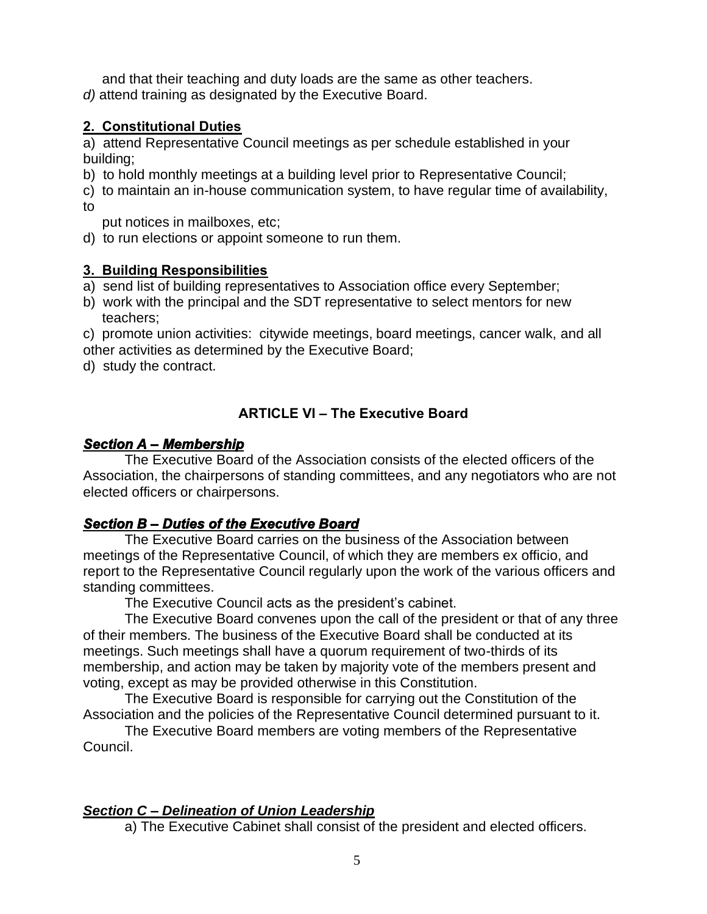and that their teaching and duty loads are the same as other teachers. *d)* attend training as designated by the Executive Board.

## **2. Constitutional Duties**

a) attend Representative Council meetings as per schedule established in your building;

- b) to hold monthly meetings at a building level prior to Representative Council;
- c) to maintain an in-house communication system, to have regular time of availability, to

put notices in mailboxes, etc;

d) to run elections or appoint someone to run them.

## **3. Building Responsibilities**

- a) send list of building representatives to Association office every September;
- b) work with the principal and the SDT representative to select mentors for new teachers;

c) promote union activities: citywide meetings, board meetings, cancer walk, and all other activities as determined by the Executive Board;

d) study the contract.

## **ARTICLE VI – The Executive Board**

#### *Section A – Membership*

The Executive Board of the Association consists of the elected officers of the Association, the chairpersons of standing committees, and any negotiators who are not elected officers or chairpersons.

## *Section B – Duties of the Executive Board*

The Executive Board carries on the business of the Association between meetings of the Representative Council, of which they are members ex officio, and report to the Representative Council regularly upon the work of the various officers and standing committees.

The Executive Council acts as the president's cabinet.

The Executive Board convenes upon the call of the president or that of any three of their members. The business of the Executive Board shall be conducted at its meetings. Such meetings shall have a quorum requirement of two-thirds of its membership, and action may be taken by majority vote of the members present and voting, except as may be provided otherwise in this Constitution.

The Executive Board is responsible for carrying out the Constitution of the Association and the policies of the Representative Council determined pursuant to it.

The Executive Board members are voting members of the Representative Council.

## *Section C – Delineation of Union Leadership*

a) The Executive Cabinet shall consist of the president and elected officers.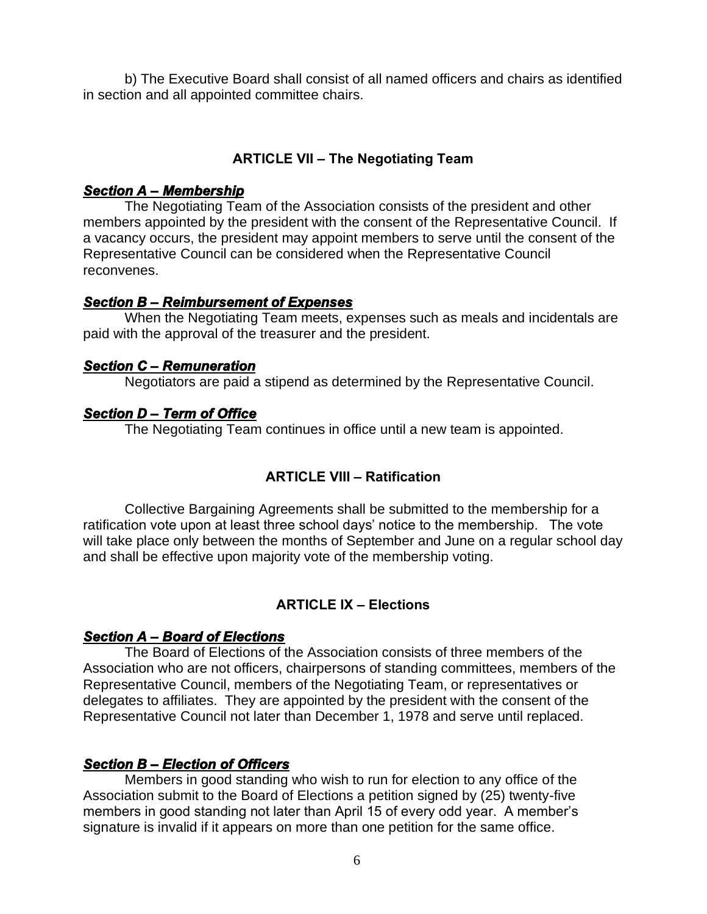b) The Executive Board shall consist of all named officers and chairs as identified in section and all appointed committee chairs.

### **ARTICLE VII – The Negotiating Team**

#### *Section A – Membership*

The Negotiating Team of the Association consists of the president and other members appointed by the president with the consent of the Representative Council. If a vacancy occurs, the president may appoint members to serve until the consent of the Representative Council can be considered when the Representative Council reconvenes.

#### *Section B – Reimbursement of Expenses*

When the Negotiating Team meets, expenses such as meals and incidentals are paid with the approval of the treasurer and the president.

#### *Section C – Remuneration*

Negotiators are paid a stipend as determined by the Representative Council.

## *Section D – Term of Office*

The Negotiating Team continues in office until a new team is appointed.

## **ARTICLE VIII – Ratification**

Collective Bargaining Agreements shall be submitted to the membership for a ratification vote upon at least three school days' notice to the membership. The vote will take place only between the months of September and June on a regular school day and shall be effective upon majority vote of the membership voting.

## **ARTICLE IX – Elections**

#### *Section A – Board of Elections*

The Board of Elections of the Association consists of three members of the Association who are not officers, chairpersons of standing committees, members of the Representative Council, members of the Negotiating Team, or representatives or delegates to affiliates. They are appointed by the president with the consent of the Representative Council not later than December 1, 1978 and serve until replaced.

## *Section B – Election of Officers*

Members in good standing who wish to run for election to any office of the Association submit to the Board of Elections a petition signed by (25) twenty-five members in good standing not later than April 15 of every odd year. A member's signature is invalid if it appears on more than one petition for the same office.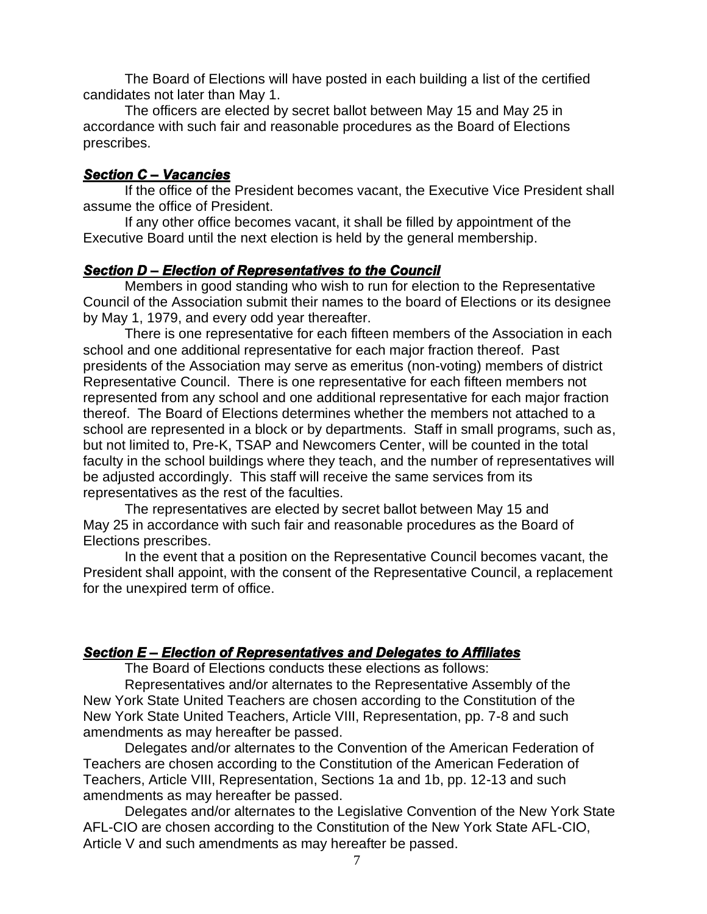The Board of Elections will have posted in each building a list of the certified candidates not later than May 1.

The officers are elected by secret ballot between May 15 and May 25 in accordance with such fair and reasonable procedures as the Board of Elections prescribes.

#### *Section C – Vacancies*

If the office of the President becomes vacant, the Executive Vice President shall assume the office of President.

If any other office becomes vacant, it shall be filled by appointment of the Executive Board until the next election is held by the general membership.

#### *Section D – Election of Representatives to the Council*

Members in good standing who wish to run for election to the Representative Council of the Association submit their names to the board of Elections or its designee by May 1, 1979, and every odd year thereafter.

There is one representative for each fifteen members of the Association in each school and one additional representative for each major fraction thereof. Past presidents of the Association may serve as emeritus (non-voting) members of district Representative Council. There is one representative for each fifteen members not represented from any school and one additional representative for each major fraction thereof. The Board of Elections determines whether the members not attached to a school are represented in a block or by departments. Staff in small programs, such as, but not limited to, Pre-K, TSAP and Newcomers Center, will be counted in the total faculty in the school buildings where they teach, and the number of representatives will be adjusted accordingly. This staff will receive the same services from its representatives as the rest of the faculties.

The representatives are elected by secret ballot between May 15 and May 25 in accordance with such fair and reasonable procedures as the Board of Elections prescribes.

In the event that a position on the Representative Council becomes vacant, the President shall appoint, with the consent of the Representative Council, a replacement for the unexpired term of office.

## *Section E – Election of Representatives and Delegates to Affiliates*

The Board of Elections conducts these elections as follows:

Representatives and/or alternates to the Representative Assembly of the New York State United Teachers are chosen according to the Constitution of the New York State United Teachers, Article VIII, Representation, pp. 7-8 and such amendments as may hereafter be passed.

Delegates and/or alternates to the Convention of the American Federation of Teachers are chosen according to the Constitution of the American Federation of Teachers, Article VIII, Representation, Sections 1a and 1b, pp. 12-13 and such amendments as may hereafter be passed.

Delegates and/or alternates to the Legislative Convention of the New York State AFL-CIO are chosen according to the Constitution of the New York State AFL-CIO, Article V and such amendments as may hereafter be passed.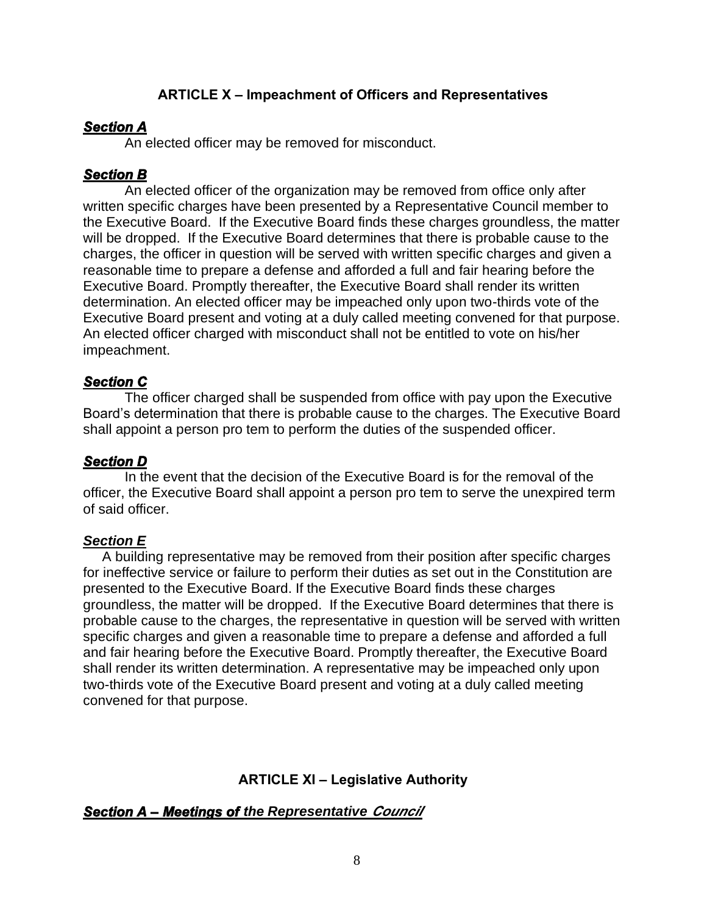## **ARTICLE X – Impeachment of Officers and Representatives**

#### *Section A*

An elected officer may be removed for misconduct.

#### *Section B*

An elected officer of the organization may be removed from office only after written specific charges have been presented by a Representative Council member to the Executive Board. If the Executive Board finds these charges groundless, the matter will be dropped. If the Executive Board determines that there is probable cause to the charges, the officer in question will be served with written specific charges and given a reasonable time to prepare a defense and afforded a full and fair hearing before the Executive Board. Promptly thereafter, the Executive Board shall render its written determination. An elected officer may be impeached only upon two-thirds vote of the Executive Board present and voting at a duly called meeting convened for that purpose. An elected officer charged with misconduct shall not be entitled to vote on his/her impeachment.

#### *Section C*

The officer charged shall be suspended from office with pay upon the Executive Board's determination that there is probable cause to the charges. The Executive Board shall appoint a person pro tem to perform the duties of the suspended officer.

## *Section D*

In the event that the decision of the Executive Board is for the removal of the officer, the Executive Board shall appoint a person pro tem to serve the unexpired term of said officer.

## *Section E*

 A building representative may be removed from their position after specific charges for ineffective service or failure to perform their duties as set out in the Constitution are presented to the Executive Board. If the Executive Board finds these charges groundless, the matter will be dropped. If the Executive Board determines that there is probable cause to the charges, the representative in question will be served with written specific charges and given a reasonable time to prepare a defense and afforded a full and fair hearing before the Executive Board. Promptly thereafter, the Executive Board shall render its written determination. A representative may be impeached only upon two-thirds vote of the Executive Board present and voting at a duly called meeting convened for that purpose.

## **ARTICLE XI – Legislative Authority**

## *Section A – Meetings of the Representative Council*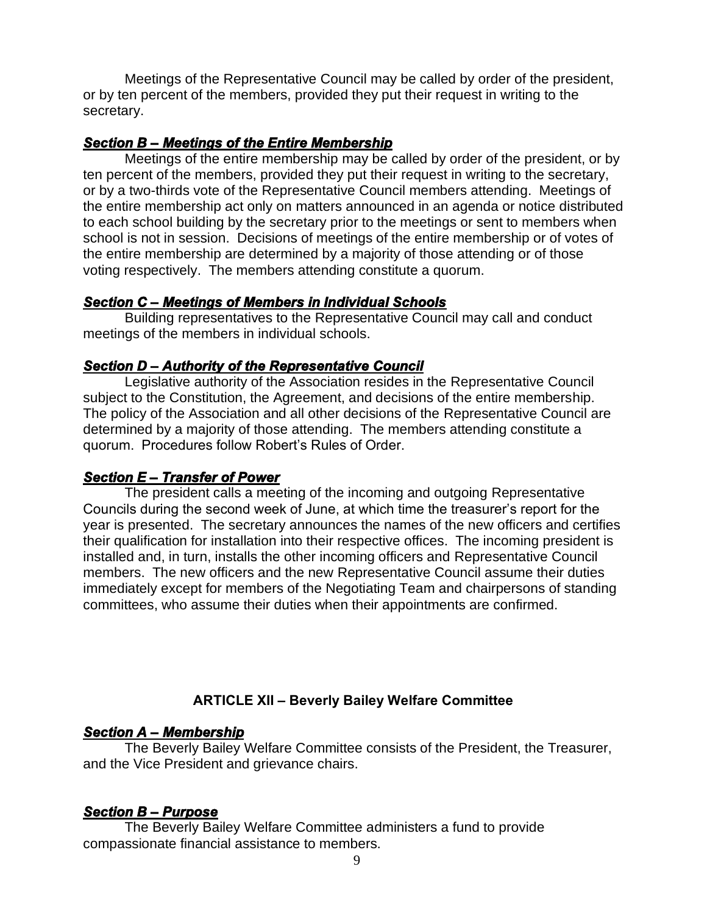Meetings of the Representative Council may be called by order of the president, or by ten percent of the members, provided they put their request in writing to the secretary.

#### *Section B – Meetings of the Entire Membership*

Meetings of the entire membership may be called by order of the president, or by ten percent of the members, provided they put their request in writing to the secretary, or by a two-thirds vote of the Representative Council members attending. Meetings of the entire membership act only on matters announced in an agenda or notice distributed to each school building by the secretary prior to the meetings or sent to members when school is not in session. Decisions of meetings of the entire membership or of votes of the entire membership are determined by a majority of those attending or of those voting respectively. The members attending constitute a quorum.

#### *Section C – Meetings of Members in Individual Schools*

Building representatives to the Representative Council may call and conduct meetings of the members in individual schools.

#### *Section D – Authority of the Representative Council*

Legislative authority of the Association resides in the Representative Council subject to the Constitution, the Agreement, and decisions of the entire membership. The policy of the Association and all other decisions of the Representative Council are determined by a majority of those attending. The members attending constitute a quorum. Procedures follow Robert's Rules of Order.

#### *Section E – Transfer of Power*

The president calls a meeting of the incoming and outgoing Representative Councils during the second week of June, at which time the treasurer's report for the year is presented. The secretary announces the names of the new officers and certifies their qualification for installation into their respective offices. The incoming president is installed and, in turn, installs the other incoming officers and Representative Council members. The new officers and the new Representative Council assume their duties immediately except for members of the Negotiating Team and chairpersons of standing committees, who assume their duties when their appointments are confirmed.

## **ARTICLE XII – Beverly Bailey Welfare Committee**

## *Section A – Membership*

The Beverly Bailey Welfare Committee consists of the President, the Treasurer, and the Vice President and grievance chairs.

## *Section B – Purpose*

The Beverly Bailey Welfare Committee administers a fund to provide compassionate financial assistance to members.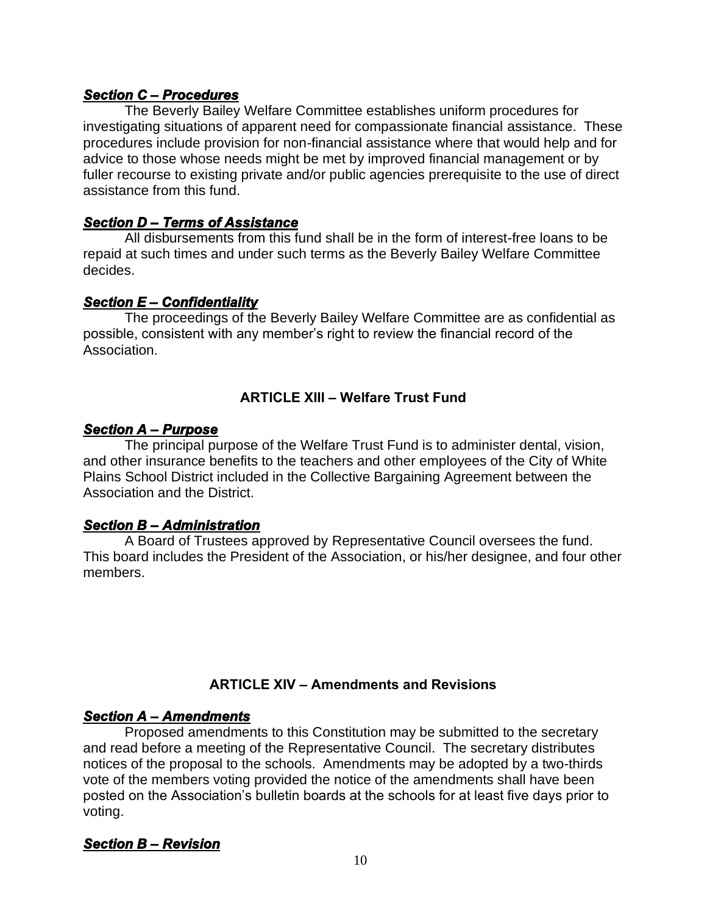#### *Section C – Procedures*

The Beverly Bailey Welfare Committee establishes uniform procedures for investigating situations of apparent need for compassionate financial assistance. These procedures include provision for non-financial assistance where that would help and for advice to those whose needs might be met by improved financial management or by fuller recourse to existing private and/or public agencies prerequisite to the use of direct assistance from this fund.

## *Section D – Terms of Assistance*

All disbursements from this fund shall be in the form of interest-free loans to be repaid at such times and under such terms as the Beverly Bailey Welfare Committee decides.

#### *Section E – Confidentiality*

The proceedings of the Beverly Bailey Welfare Committee are as confidential as possible, consistent with any member's right to review the financial record of the Association.

## **ARTICLE XIII – Welfare Trust Fund**

#### *Section A – Purpose*

The principal purpose of the Welfare Trust Fund is to administer dental, vision, and other insurance benefits to the teachers and other employees of the City of White Plains School District included in the Collective Bargaining Agreement between the Association and the District.

## *Section B – Administration*

A Board of Trustees approved by Representative Council oversees the fund. This board includes the President of the Association, or his/her designee, and four other members.

## **ARTICLE XIV – Amendments and Revisions**

## *Section A – Amendments*

Proposed amendments to this Constitution may be submitted to the secretary and read before a meeting of the Representative Council. The secretary distributes notices of the proposal to the schools. Amendments may be adopted by a two-thirds vote of the members voting provided the notice of the amendments shall have been posted on the Association's bulletin boards at the schools for at least five days prior to voting.

## *Section B – Revision*